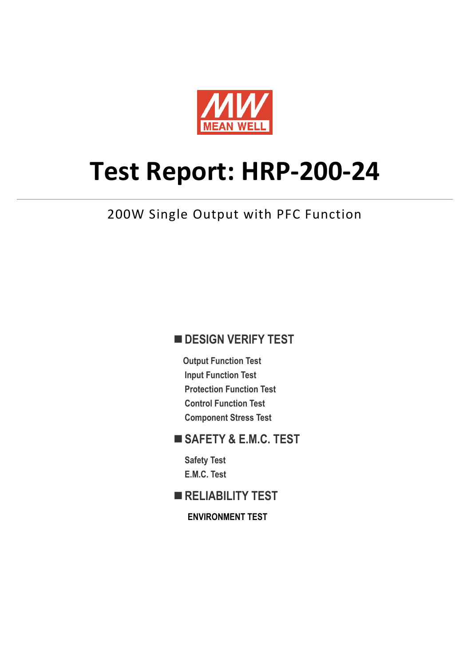

# **Test Report: HRP-200-24**

## 200W Single Output with PFC Function

#### **DESIGN VERIFY TEST**

**Output Function Test Input Function Test Protection Function Test Control Function Test Component Stress Test**

#### **SAFETY & E.M.C. TEST**

**Safety Test E.M.C. Test**

**RELIABILITY TEST**

**ENVIRONMENT TEST**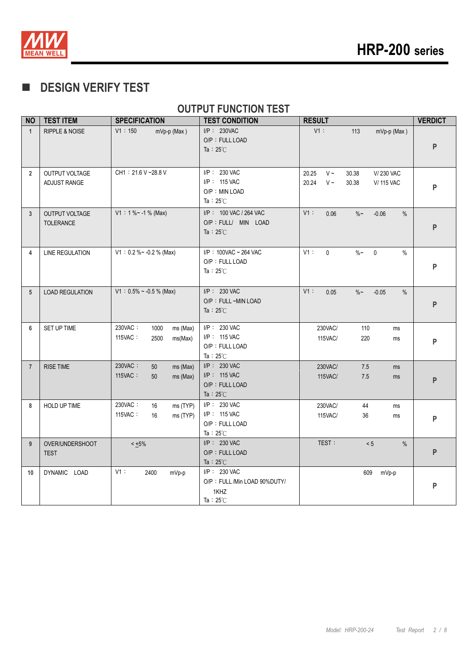

## **DESIGN VERIFY TEST**

#### **OUTPUT FUNCTION TEST**

| <b>NO</b>      | <b>TEST ITEM</b>                   | <b>SPECIFICATION</b>                                      | <b>TEST CONDITION</b>                                                      | <b>RESULT</b>                                                                              | <b>VERDICT</b> |
|----------------|------------------------------------|-----------------------------------------------------------|----------------------------------------------------------------------------|--------------------------------------------------------------------------------------------|----------------|
| $\mathbf{1}$   | <b>RIPPLE &amp; NOISE</b>          | V1:150<br>$mVp-p$ (Max)                                   | $I/P$ : 230VAC<br>O/P: FULL LOAD<br>Ta: $25^{\circ}$ C                     | $V1$ :<br>mVp-p (Max)<br>113                                                               | P              |
| $\overline{2}$ | OUTPUT VOLTAGE<br>ADJUST RANGE     | CH1: 21.6 V ~28.8 V                                       | $I/P$ : 230 VAC<br>$I/P$ : 115 VAC<br>O/P : MIN LOAD<br>Ta: $25^{\circ}$ C | 20.25<br>$V \sim$<br>V/230 VAC<br>30.38<br>20.24<br>$V \sim$<br>30.38<br><b>V/ 115 VAC</b> | P              |
| $\mathbf{3}$   | OUTPUT VOLTAGE<br><b>TOLERANCE</b> | $V1: 1 % ~ -1 % (Max)$                                    | I/P: 100 VAC / 264 VAC<br>O/P : FULL/ MIN LOAD<br>Ta : $25^{\circ}$ C      | V1:<br>0.06<br>$\%$ ~<br>$-0.06$<br>%                                                      | P              |
| 4              | <b>LINE REGULATION</b>             | $V1: 0.2 % ~ -0.2 %$ (Max)                                | I/P: 100VAC ~ 264 VAC<br>O/P: FULL LOAD<br>Ta: $25^{\circ}$ C              | V1:<br>$\mathbf{0}$<br>$\%$ ~<br>$\mathbf 0$<br>$\%$                                       | P              |
| 5              | <b>LOAD REGULATION</b>             | $V1: 0.5\% \sim -0.5\%$ (Max)                             | $I/P$ : 230 VAC<br>O/P: FULL ~MIN LOAD<br>Ta: $25^{\circ}$ C               | V1:<br>0.05<br>$\%$ ~<br>$-0.05$<br>$\%$                                                   | P              |
| 6              | SET UP TIME                        | 230VAC:<br>1000<br>ms (Max)<br>115VAC:<br>2500<br>ms(Max) | I/P: 230 VAC<br>I/P: 115 VAC<br>O/P: FULL LOAD<br>Ta: $25^{\circ}$ C       | 230VAC/<br>110<br>ms<br>220<br><b>115VAC/</b><br>ms                                        | P              |
| $\overline{7}$ | <b>RISE TIME</b>                   | 230VAC:<br>50<br>ms (Max)<br>115VAC:<br>ms (Max)<br>50    | $I/P$ : 230 VAC<br>I/P: 115 VAC<br>O/P: FULL LOAD<br>Ta: $25^{\circ}$ C    | 230VAC/<br>7.5<br>ms<br><b>115VAC/</b><br>7.5<br>ms                                        | P              |
| 8              | HOLD UP TIME                       | 230VAC:<br>16<br>ms (TYP)<br>115VAC:<br>16<br>ms (TYP)    | $I/P$ : 230 VAC<br>$I/P$ : 115 VAC<br>O/P: FULL LOAD<br>Ta: $25^{\circ}$ C | 230VAC/<br>44<br>ms<br><b>115VAC/</b><br>36<br>ms                                          | P              |
| 9              | OVER/UNDERSHOOT<br><b>TEST</b>     | $< +5\%$                                                  | $I/P$ : 230 VAC<br>O/P: FULL LOAD<br>Ta: $25^{\circ}$ C                    | TEST:<br>< 5<br>$\%$                                                                       | P              |
| 10             | DYNAMIC LOAD                       | V1:<br>2400<br>mVp-p                                      | I/P: 230 VAC<br>O/P: FULL /Min LOAD 90%DUTY/<br>1KHZ<br>Ta: $25^{\circ}$ C | 609<br>mVp-p                                                                               | P              |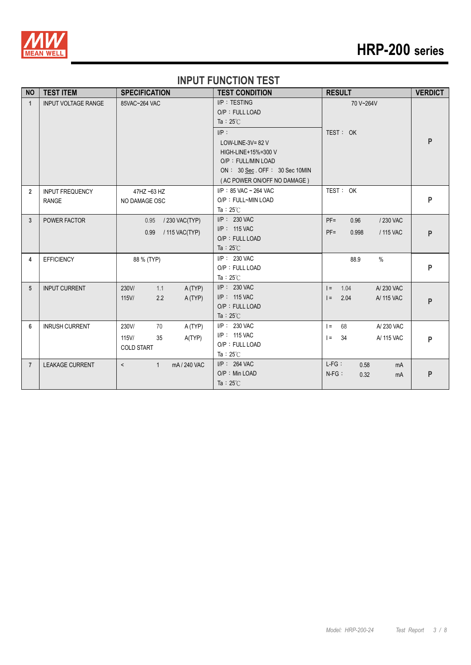

# **HRP-200 series**

#### **INPUT FUNCTION TEST**

| <b>NO</b>      | <b>TEST ITEM</b>           | <b>SPECIFICATION</b>                    | <b>TEST CONDITION</b>         | <b>RESULT</b>                             | <b>VERDICT</b> |
|----------------|----------------------------|-----------------------------------------|-------------------------------|-------------------------------------------|----------------|
| $\overline{1}$ | <b>INPUT VOLTAGE RANGE</b> | 85VAC~264 VAC                           | I/P: TESTING                  | 70 V~264V                                 |                |
|                |                            |                                         | O/P: FULL LOAD                |                                           |                |
|                |                            |                                         | Ta: $25^{\circ}$ C            |                                           |                |
|                |                            |                                         | $I/P$ :                       | TEST: OK                                  |                |
|                |                            |                                         | LOW-LINE-3V= $82$ V           |                                           | P              |
|                |                            |                                         | HIGH-LINE+15%=300 V           |                                           |                |
|                |                            |                                         | O/P: FULL/MIN LOAD            |                                           |                |
|                |                            |                                         | ON: 30 Sec. OFF: 30 Sec 10MIN |                                           |                |
|                |                            |                                         | (AC POWER ON/OFF NO DAMAGE)   |                                           |                |
| $\overline{2}$ | <b>INPUT FREQUENCY</b>     | 47HZ ~63 HZ                             | I/P: 85 VAC ~ 264 VAC         | TEST: OK                                  |                |
|                | <b>RANGE</b>               | NO DAMAGE OSC                           | O/P: FULL~MIN LOAD            |                                           | P              |
|                |                            |                                         | Ta: $25^{\circ}$ C            |                                           |                |
| 3              | POWER FACTOR               | / 230 VAC(TYP)<br>0.95                  | $I/P$ : 230 VAC               | $PF =$<br>0.96<br>/230 VAC                |                |
|                |                            | 0.99<br>/ 115 VAC(TYP)                  | $I/P$ : 115 VAC               | $PF =$<br>0.998<br>/ 115 VAC              | P              |
|                |                            |                                         | O/P: FULL LOAD                |                                           |                |
|                |                            |                                         | Ta : $25^{\circ}$ C           |                                           |                |
| 4              | <b>EFFICIENCY</b>          | 88 % (TYP)                              | I/P: 230 VAC                  | $\%$<br>88.9                              |                |
|                |                            |                                         | O/P: FULL LOAD                |                                           | P              |
|                |                            |                                         | Ta: $25^{\circ}$ C            |                                           |                |
| 5              | <b>INPUT CURRENT</b>       | 230V/<br>1.1<br>A (TYP)                 | $I/P$ : 230 VAC               | 1.04<br>A/230 VAC<br>$\vert \equiv \vert$ |                |
|                |                            | $115$ V/<br>2.2<br>A (TYP)              | I/P: 115 VAC                  | $=$<br>2.04<br>A/ 115 VAC                 | P              |
|                |                            |                                         | O/P: FULL LOAD                |                                           |                |
|                |                            |                                         | Ta: $25^{\circ}$ C            |                                           |                |
| 6              | <b>INRUSH CURRENT</b>      | 230V/<br>70<br>A (TYP)                  | I/P: 230 VAC                  | A/230 VAC<br>$\vert$ =<br>68              |                |
|                |                            | $115$ V/<br>35<br>A(TYP)                | I/P: 115 VAC                  | A/ 115 VAC<br>$=$<br>34                   | P              |
|                |                            | <b>COLD START</b>                       | O/P: FULL LOAD                |                                           |                |
|                |                            |                                         | Ta: $25^\circ$ C              |                                           |                |
| $\overline{7}$ | <b>LEAKAGE CURRENT</b>     | mA / 240 VAC<br>$\mathbf{1}$<br>$\prec$ | I/P: 264 VAC                  | $L-FG:$<br>0.58<br>mA                     |                |
|                |                            |                                         | O/P: Min LOAD                 | $N-FG$ :<br>0.32<br>mA                    | P              |
|                |                            |                                         | Ta: $25^{\circ}$ C            |                                           |                |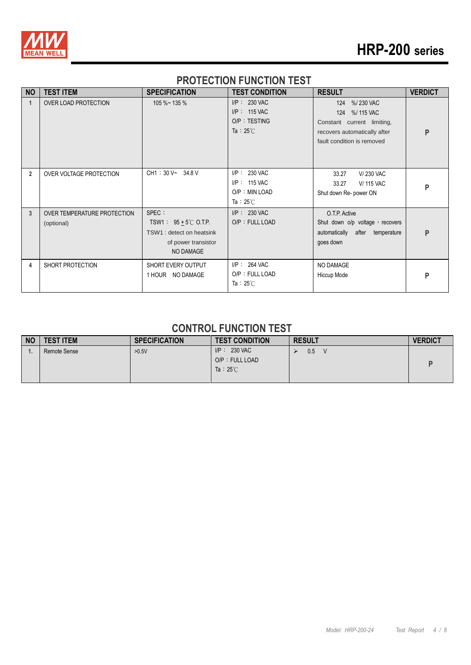

# **HRP-200 series**

#### **PROTECTION FUNCTION TEST**

| <b>NO</b>      | <b>TEST ITEM</b>                          | <b>SPECIFICATION</b>                                                                                       | <b>TEST CONDITION</b>                                                     | <b>RESULT</b>                                                                                                              | <b>VERDICT</b> |
|----------------|-------------------------------------------|------------------------------------------------------------------------------------------------------------|---------------------------------------------------------------------------|----------------------------------------------------------------------------------------------------------------------------|----------------|
| 1              | OVER LOAD PROTECTION                      | $105 \%$ ~ 135 %                                                                                           | $I/P: 230$ VAC<br>$I/P$ : 115 VAC<br>O/P: TESTING<br>Ta : $25^{\circ}$ C  | 124 %/230 VAC<br>124 %/115 VAC<br>Constant current limiting,<br>recovers automatically after<br>fault condition is removed | P              |
| $\overline{2}$ | OVER VOLTAGE PROTECTION                   | CH1: 30 V~ 34.8 V                                                                                          | $I/P$ : 230 VAC<br>$I/P$ : 115 VAC<br>O/P: MIN LOAD<br>Ta: $25^{\circ}$ C | 33.27<br>V/230 VAC<br><b>V/115 VAC</b><br>33.27<br>Shut down Re- power ON                                                  | P              |
| 3              | OVER TEMPERATURE PROTECTION<br>(optional) | SPEC :<br>TSW1: $95 + 5^{\circ}$ C O.T.P.<br>TSW1 : detect on heatsink<br>of power transistor<br>NO DAMAGE | I/P: 230 VAC<br>O/P: FULL LOAD                                            | O.T.P. Active<br>Shut down o/p voltage, recovers<br>automatically after temperature<br>goes down                           | P              |
| 4              | SHORT PROTECTION                          | SHORT EVERY OUTPUT<br>1 HOUR NO DAMAGE                                                                     | $I/P$ : 264 VAC<br>O/P: FULL LOAD<br>Ta: $25^{\circ}$ C                   | NO DAMAGE<br>Hiccup Mode                                                                                                   | P              |

#### **CONTROL FUNCTION TEST**

| <b>NO</b> | <b>TEST ITEM</b> | <b>SPECIFICATION</b> | <b>TEST CONDITION</b>                                  | <b>RESULT</b> | <b>VERDICT</b> |
|-----------|------------------|----------------------|--------------------------------------------------------|---------------|----------------|
|           | Remote Sense     | >0.5V                | $I/P: 230$ VAC<br>O/P: FULL LOAD<br>Ta: $25^{\circ}$ C | 0.5<br>V      |                |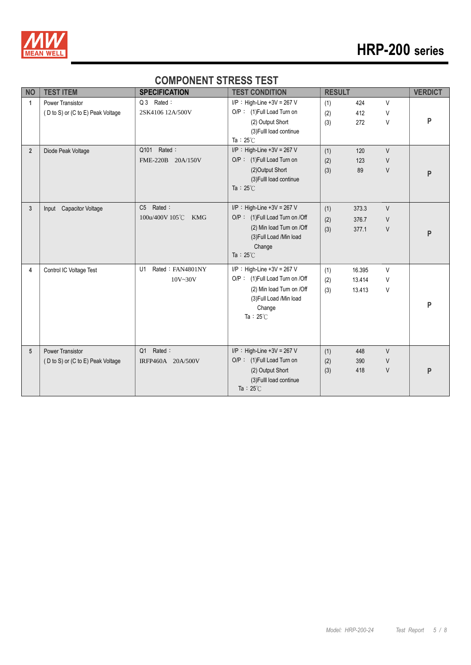

#### **COMPONENT STRESS TEST**

| <b>NO</b>       | <b>TEST ITEM</b>                                             | <b>SPECIFICATION</b>                       | <b>TEST CONDITION</b>                                                                                                                                     | <b>RESULT</b>     |                                                | <b>VERDICT</b> |
|-----------------|--------------------------------------------------------------|--------------------------------------------|-----------------------------------------------------------------------------------------------------------------------------------------------------------|-------------------|------------------------------------------------|----------------|
| 1               | <b>Power Transistor</b><br>(D to S) or (C to E) Peak Voltage | Q 3 Rated:<br>2SK4106 12A/500V             | $I/P$ : High-Line +3V = 267 V<br>O/P: (1)Full Load Turn on<br>(2) Output Short<br>(3) Fulll load continue<br>Ta: $25^{\circ}$ C                           | (1)<br>(2)<br>(3) | V<br>424<br>412<br>V<br>272<br>V               | P              |
| $\overline{2}$  | Diode Peak Voltage                                           | Q101 Rated:<br>FME-220B 20A/150V           | $I/P$ : High-Line +3V = 267 V<br>O/P: (1)Full Load Turn on<br>(2) Output Short<br>(3) Fulll load continue<br>Ta : $25^{\circ}$ C                          | (1)<br>(2)<br>(3) | $\vee$<br>120<br>$\vee$<br>123<br>$\vee$<br>89 | P              |
| $\mathbf{3}$    | Input Capacitor Voltage                                      | C5 Rated:<br>100u/400V 105°C<br><b>KMG</b> | $I/P$ : High-Line +3V = 267 V<br>O/P: (1) Full Load Turn on /Off<br>(2) Min load Turn on /Off<br>(3) Full Load /Min load<br>Change<br>Ta : $25^{\circ}$ C | (1)<br>(2)<br>(3) | $\vee$<br>373.3<br>376.7<br>V<br>377.1<br>V    | P              |
| 4               | Control IC Voltage Test                                      | Rated: FAN4801NY<br>U1<br>$10V - 30V$      | $I/P$ : High-Line +3V = 267 V<br>O/P: (1)Full Load Turn on /Off<br>(2) Min load Turn on /Off<br>(3) Full Load /Min load<br>Change<br>Ta: $25^{\circ}$ C   | (1)<br>(2)<br>(3) | 16.395<br>V<br>13.414<br>V<br>V<br>13.413      | P              |
| $5\phantom{.0}$ | <b>Power Transistor</b><br>(D to S) or (C to E) Peak Voltage | Rated:<br>Q1<br>IRFP460A 20A/500V          | $I/P$ : High-Line +3V = 267 V<br>O/P: (1)Full Load Turn on<br>(2) Output Short<br>(3) Fulll load continue<br>Ta: $25^{\circ}$ C                           | (1)<br>(2)<br>(3) | $\vee$<br>448<br>390<br>V<br>418<br>V          | P              |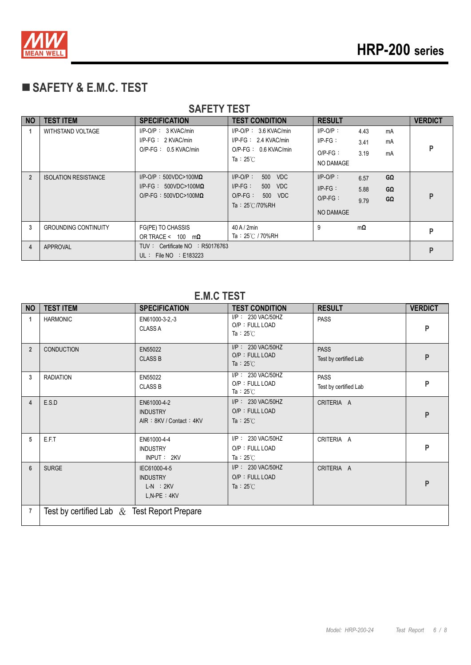

## **SAFETY & E.M.C. TEST**

| <u>UMILII ILUI</u> |                             |                                                                                                |                                                                                                      |                                                      |                                        |                |  |  |
|--------------------|-----------------------------|------------------------------------------------------------------------------------------------|------------------------------------------------------------------------------------------------------|------------------------------------------------------|----------------------------------------|----------------|--|--|
| <b>NO</b>          | <b>TEST ITEM</b>            | <b>SPECIFICATION</b>                                                                           | <b>TEST CONDITION</b>                                                                                | <b>RESULT</b>                                        |                                        | <b>VERDICT</b> |  |  |
|                    | <b>WITHSTAND VOLTAGE</b>    | $I/P-O/P$ : 3 KVAC/min<br>$I/P-FG: 2$ KVAC/min<br>$O/P-FG: 0.5$ KVAC/min                       | $I/P$ -O/P : 3.6 KVAC/min<br>$I/P-FG: 2.4 KVAC/min$<br>$O/P$ -FG: 0.6 KVAC/min<br>Ta: $25^{\circ}$ C | $I/P$ -O/P:<br>$IP-FG:$<br>$O/P-FG$ :<br>NO DAMAGE   | 4.43<br>mA<br>mA<br>3.41<br>3.19<br>mA | P              |  |  |
| $\overline{2}$     | <b>ISOLATION RESISTANCE</b> | $I/P$ -O/P: 500VDC>100M $\Omega$<br>$I/P-FG: 500VDC>100M\Omega$<br>O/P-FG: $500VDC>100M\Omega$ | 500 VDC<br>$I/P-O/P$ :<br>$I/P-FG$ :<br>500 VDC<br>$O/P-FG$ :<br>500 VDC<br>Ta: $25^{\circ}$ C/70%RH | $I/P-O/P$ :<br>$I/P-FG$ :<br>$O/P-FG$ :<br>NO DAMAGE | GΩ<br>6.57<br>GΩ<br>5.88<br>GΩ<br>9.79 | P              |  |  |
| 3                  | <b>GROUNDING CONTINUITY</b> | FG(PE) TO CHASSIS<br>OR TRACE < $100 \text{ m}\Omega$                                          | $40$ A / $2$ min<br>Ta: $25^{\circ}$ C / 70%RH                                                       | 9                                                    | $m\Omega$                              | P              |  |  |
| 4                  | APPROVAL                    | TUV: Certificate NO : R50176763<br>UL : File NO : $E183223$                                    |                                                                                                      |                                                      |                                        | P              |  |  |

#### **SAFETY TEST**

#### **E.M.C TEST**

| <b>NO</b>      | <b>TEST ITEM</b>                               | <b>SPECIFICATION</b>                                                | <b>TEST CONDITION</b>                                      | <b>RESULT</b>                        | <b>VERDICT</b> |  |  |  |
|----------------|------------------------------------------------|---------------------------------------------------------------------|------------------------------------------------------------|--------------------------------------|----------------|--|--|--|
| $\mathbf{1}$   | <b>HARMONIC</b>                                | EN61000-3-2,-3<br><b>CLASS A</b>                                    | I/P: 230 VAC/50HZ<br>O/P: FULL LOAD<br>Ta: $25^{\circ}$ C  | <b>PASS</b>                          | P              |  |  |  |
| $\overline{2}$ | <b>CONDUCTION</b>                              | EN55022<br><b>CLASS B</b>                                           | I/P: 230 VAC/50HZ<br>O/P: FULL LOAD<br>Ta : $25^{\circ}$ C | <b>PASS</b><br>Test by certified Lab | P              |  |  |  |
| 3              | <b>RADIATION</b>                               | EN55022<br><b>CLASS B</b>                                           | I/P: 230 VAC/50HZ<br>O/P: FULL LOAD<br>Ta : $25^{\circ}$ C | <b>PASS</b><br>Test by certified Lab | P              |  |  |  |
| 4              | E.S.D                                          | EN61000-4-2<br><b>INDUSTRY</b><br>AIR: 8KV / Contact: 4KV           | I/P: 230 VAC/50HZ<br>O/P: FULL LOAD<br>Ta: $25^{\circ}$ C  | CRITERIA A                           | P              |  |  |  |
| 5              | E.F.T                                          | EN61000-4-4<br><b>INDUSTRY</b><br>INPUT: 2KV                        | I/P: 230 VAC/50HZ<br>O/P: FULL LOAD<br>Ta: $25^{\circ}$ C  | CRITERIA A                           | P              |  |  |  |
| 6              | <b>SURGE</b>                                   | IEC61000-4-5<br><b>INDUSTRY</b><br>$L-N$ : $2KV$<br>$L, N-PE : 4KV$ | I/P: 230 VAC/50HZ<br>O/P: FULL LOAD<br>Ta: $25^{\circ}$ C  | CRITERIA A                           | P              |  |  |  |
| $\overline{7}$ | Test by certified Lab $\&$ Test Report Prepare |                                                                     |                                                            |                                      |                |  |  |  |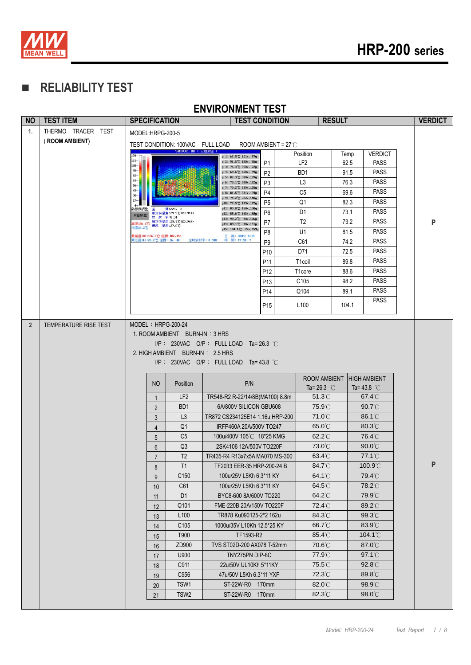

## **RELIABILITY TEST**

|           |                                      |                                                                   |                                  | <b>ENVIRONMENT TEST</b>                             |                               |                     |                            |                          |                |
|-----------|--------------------------------------|-------------------------------------------------------------------|----------------------------------|-----------------------------------------------------|-------------------------------|---------------------|----------------------------|--------------------------|----------------|
| <b>NO</b> | <b>TEST ITEM</b>                     | <b>SPECIFICATION</b>                                              |                                  | <b>TEST CONDITION</b>                               |                               |                     | <b>RESULT</b>              |                          | <b>VERDICT</b> |
| 1.        | THERMO TRACER TEST<br>(ROOM AMBIENT) | MODEL:HRPG-200-5<br>TEST CONDITION: 100VAC FULL LOAD              |                                  |                                                     | ROOM AMBIENT = $27^{\circ}$ C |                     |                            |                          |                |
|           |                                      |                                                                   | 94180001.IRI (定點測溫)              | p 1: 62.5°C 121x, 87y                               |                               | Position            | Temp                       | <b>VERDICT</b>           |                |
|           |                                      | $121 -$<br>$108 -$                                                |                                  | p 2: 91.5°C 180x, 65y<br>p 3: 76.3°C 250x, 72y      | P <sub>1</sub>                | LF <sub>2</sub>     | 62.5                       | <b>PASS</b>              |                |
|           |                                      | 95-<br>82-                                                        |                                  | p 4: 69.6°C 260x, 99y                               | P <sub>2</sub>                | B <sub>D</sub> 1    | 91.5                       | <b>PASS</b>              |                |
|           |                                      | 69-<br>56                                                         |                                  | p 5: 82.3℃ 300x,109y<br>p 6: 73.1 °C 300x, 122y     | P <sub>3</sub>                | L <sub>3</sub>      | 76.3                       | <b>PASS</b>              |                |
|           |                                      | 43<br>30                                                          |                                  | p 7: 73.2°C 239x, 165y<br>p 8: 81.5°C 231x, 129y    | P <sub>4</sub>                | C <sub>5</sub>      | 69.6                       | <b>PASS</b>              |                |
|           |                                      |                                                                   |                                  | p 9: 74.2°C 222x,110y<br>p10: 72.5 °C 199x, 187y    | P <sub>5</sub>                | Q <sub>1</sub>      | 82.3                       | <b>PASS</b>              |                |
|           |                                      | 内膜の調整<br>座<br>自動調整<br>放射 率:0.94                                   | 標:220, 0<br>原管料温度: 29.9℃(E0.94)) | p11: 89.8°C 150x, 150y<br>p12: 88.6 °C 143x, 168y   | P <sub>6</sub>                | D <sub>1</sub>      | 73.1                       | <b>PASS</b>              |                |
|           |                                      | 5温126.2℃ 補正後温度: 29.9℃(E0.94))<br>5温126.2℃ 環境 温度: 27.0℃<br>氏温26.2℃ |                                  | p13: 98.2°C 90x,126y<br>p14: 89.1 °C 98x, 191y      | P <sub>7</sub>                | T <sub>2</sub>      | 73.2                       | <b>PASS</b>              | P              |
|           |                                      | 最高溫(H):126.2℃ 座標:102,156                                          |                                  | p15: 104.1 °C 72x, 159y<br>日 期: 2009/ 4/18          | P <sub>8</sub>                | U1                  | 81.5                       | <b>PASS</b>              |                |
|           |                                      | 表低温(L):26.2℃ 座標: 26, 48                                           |                                  | 時間: 17:18: 7<br>全域放射率: 0.940                        | P <sub>9</sub>                | C61                 | 74.2                       | <b>PASS</b>              |                |
|           |                                      |                                                                   |                                  |                                                     | P <sub>10</sub>               | D71                 | 72.5                       | <b>PASS</b>              |                |
|           |                                      |                                                                   |                                  |                                                     | P11                           | T <sub>1</sub> coil | 89.8                       | <b>PASS</b>              |                |
|           |                                      |                                                                   |                                  |                                                     | P <sub>12</sub>               | T <sub>1</sub> core | 88.6                       | <b>PASS</b>              |                |
|           |                                      |                                                                   |                                  |                                                     | P <sub>13</sub>               | C <sub>105</sub>    | 98.2                       | <b>PASS</b>              |                |
|           |                                      |                                                                   |                                  |                                                     | P <sub>14</sub>               | Q104                | 89.1                       | <b>PASS</b>              |                |
|           |                                      |                                                                   |                                  |                                                     | P <sub>15</sub>               | L <sub>100</sub>    | 104.1                      | <b>PASS</b>              |                |
|           |                                      | 2. HIGH AMBIENT BURN-IN: 2.5 HRS                                  |                                  | $I/P$ : 230VAC O/P: FULL LOAD Ta=43.8 °C            |                               |                     | ROOM AMBIENT               | <b>HIGH AMBIENT</b>      |                |
|           |                                      | NO                                                                | Position                         | P/N                                                 |                               |                     | Ta= 26.3 $^{\circ}$ C      | Ta=43.8 $^{\circ}$ C     |                |
|           |                                      | $\mathbf{1}$                                                      | LF <sub>2</sub>                  | TR548-R2 R-22/14/8B(MA100) 8.8m                     |                               |                     | $51.3^{\circ}$ C           | $67.4^{\circ}$ C         |                |
|           |                                      | $\overline{2}$                                                    | B <sub>D</sub> 1                 | 6A/800V SILICON GBU608                              |                               |                     | 75.9°C                     | $90.7^{\circ}$ C         |                |
|           |                                      | 3                                                                 | L <sub>3</sub>                   | TR872 CS234125E14 1.16u HRP-200                     |                               |                     | $71.0^{\circ}$ C           | $86.1^{\circ}$           |                |
|           |                                      | $\overline{4}$                                                    | Q <sub>1</sub><br>C <sub>5</sub> | IRFP460A 20A/500V TO247<br>100u/400V 105℃ 18*25 KMG |                               |                     | 65.0°C<br>$62.2^{\circ}$ C | 80.3°C<br>76.4°C         |                |
|           |                                      | 5<br>$6\phantom{1}$                                               | Q <sub>3</sub>                   | 2SK4106 12A/500V TO220F                             |                               |                     | 73.0°C                     | 90.0°C                   |                |
|           |                                      | $\overline{7}$                                                    | $\mathsf{T2}$                    | TR435-R4 R13x7x5A MA070 MS-300                      |                               |                     | $63.4^{\circ}$ C           | $77.1\mathrm{^\circ\!C}$ |                |
|           |                                      | 8                                                                 | T1                               | TF2033 EER-35 HRP-200-24 B                          |                               |                     | 84.7°C                     | $100.9^{\circ}$          | P              |
|           |                                      | 9                                                                 | C <sub>150</sub>                 | 100u/25V L5Kh 6.3*11 KY                             |                               |                     | $64.1^{\circ}$ C           | 79.4°C                   |                |
|           |                                      | 10                                                                | C61                              | 100u/25V L5Kh 6.3*11 KY                             |                               |                     | 64.5°C                     | 78.2°C                   |                |
|           |                                      | 11                                                                | D <sub>1</sub>                   | BYC8-600 8A/600V TO220                              |                               |                     | 64.2°C                     | 79.9°C                   |                |
|           |                                      | 12                                                                | Q101                             | FME-220B 20A/150V TO220F                            |                               |                     | 72.4°C                     | 89.2°C                   |                |
|           |                                      | 13                                                                | L <sub>100</sub>                 | TR878 Ku090125-2*2 162u                             |                               |                     | 84.3°C                     | 99.3°C                   |                |
|           |                                      | 14                                                                | C <sub>105</sub>                 | 1000u/35V L10Kh 12.5*25 KY                          |                               |                     | 66.7°C                     | $83.9^{\circ}$ C         |                |
|           |                                      | 15                                                                | T900                             | TF1593-R2                                           |                               |                     | $85.4^{\circ}$ C           | 104.1°C                  |                |
|           |                                      | 16                                                                | ZD900                            | TVS ST02D-200 AX078 T-52mm                          |                               |                     | 70.6°C                     | 87.0°C                   |                |
|           |                                      | 17                                                                | U900                             | TNY275PN DIP-8C                                     |                               |                     | 77.9°C                     | $97.1^{\circ}$           |                |
|           |                                      | 18                                                                | C911                             | 22u/50V UL10Kh 5*11KY                               |                               |                     | 75.5°C                     | $92.8^{\circ}$           |                |
|           |                                      | 19                                                                | C956                             | 47u/50V L5Kh 6.3*11 YXF                             |                               |                     | 72.3°C                     | 89.8°C                   |                |
|           |                                      | 20                                                                | TSW1<br>TSW <sub>2</sub>         | ST-22W-R0 170mm                                     | 170mm                         |                     | 82.0°C<br>$82.3^{\circ}$ C | 98.9°C<br>$98.0^{\circ}$ |                |
|           |                                      | 21                                                                |                                  | ST-22W-R0                                           |                               |                     |                            |                          |                |